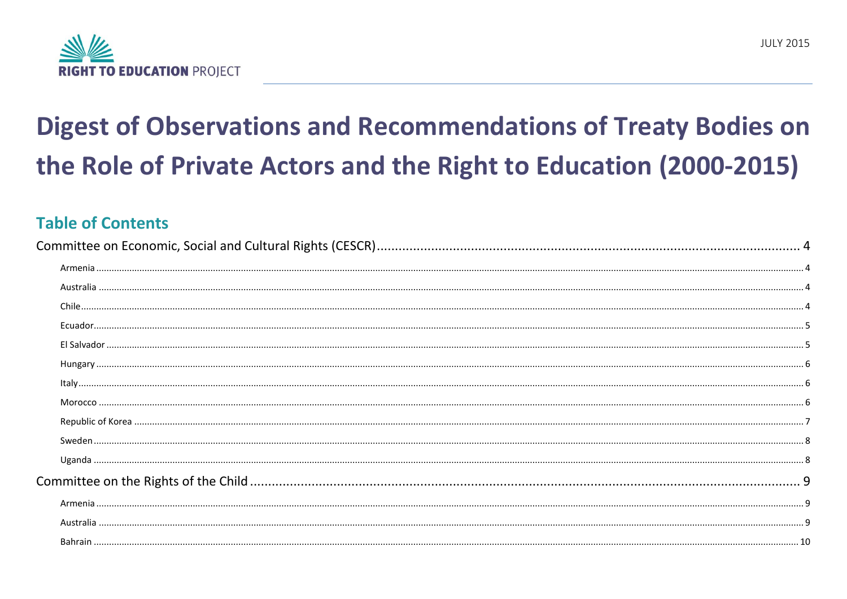

# **Digest of Observations and Recommendations of Treaty Bodies on** the Role of Private Actors and the Right to Education (2000-2015)

## **Table of Contents**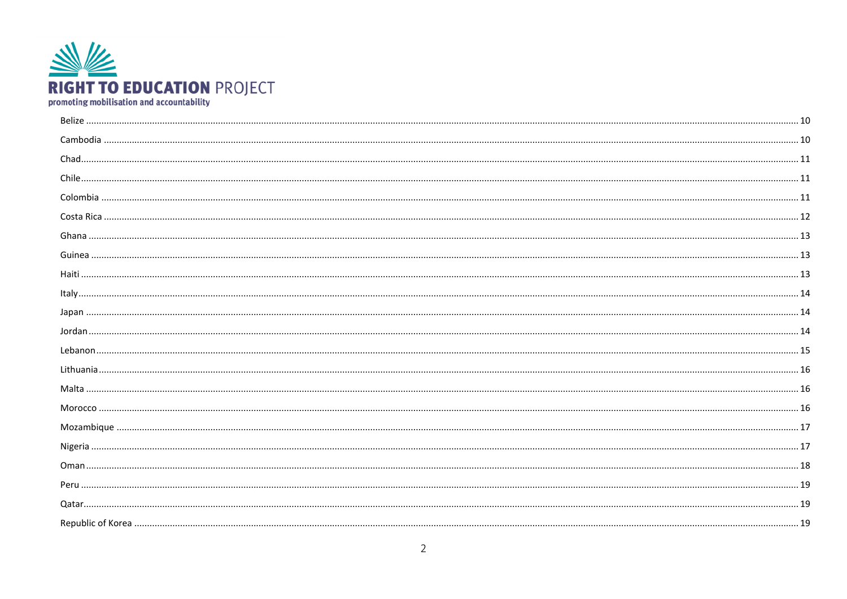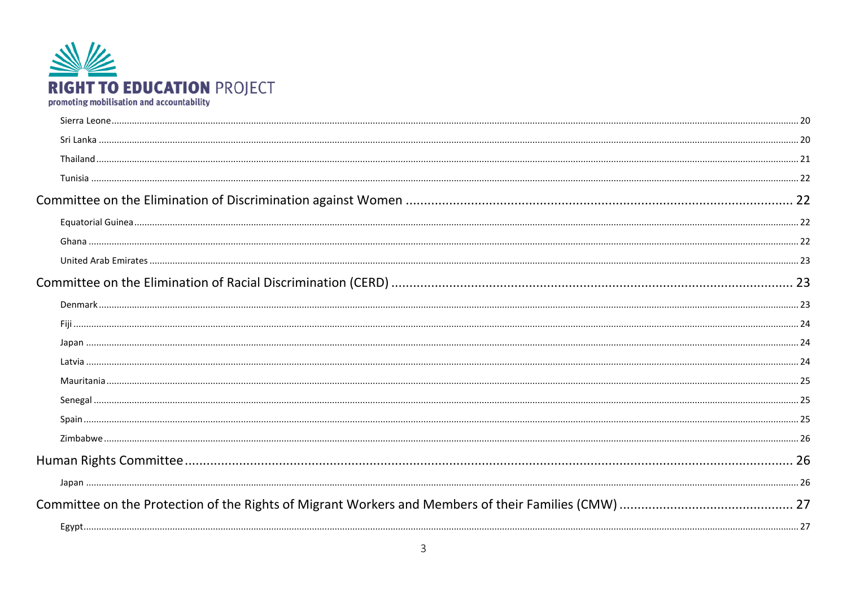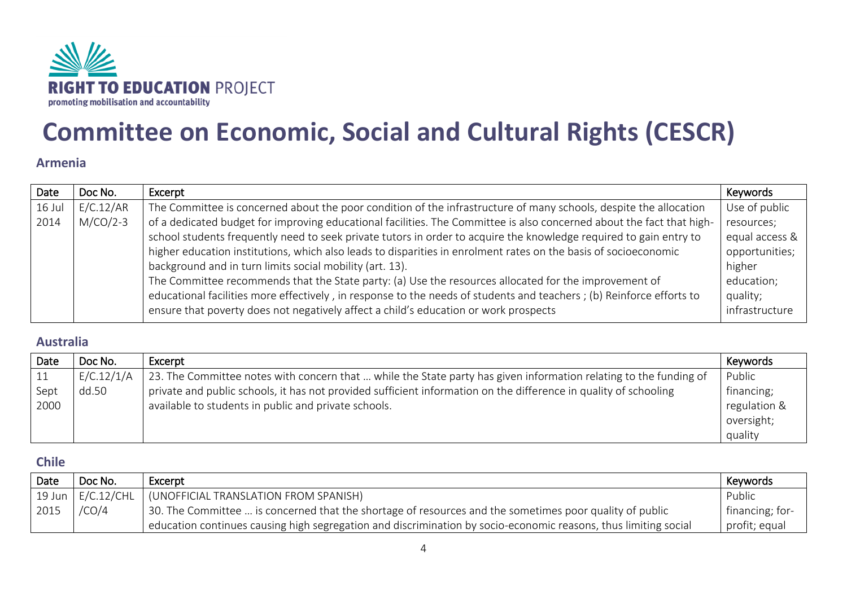

## <span id="page-3-1"></span><span id="page-3-0"></span>**Committee on Economic, Social and Cultural Rights (CESCR)**

#### **Armenia**

| Date     | Doc No.    | Excerpt                                                                                                               | Keywords       |
|----------|------------|-----------------------------------------------------------------------------------------------------------------------|----------------|
| $16$ Jul | E/C.12/AR  | The Committee is concerned about the poor condition of the infrastructure of many schools, despite the allocation     | Use of public  |
| 2014     | $M/CO/2-3$ | of a dedicated budget for improving educational facilities. The Committee is also concerned about the fact that high- | resources;     |
|          |            | school students frequently need to seek private tutors in order to acquire the knowledge required to gain entry to    | equal access & |
|          |            | higher education institutions, which also leads to disparities in enrolment rates on the basis of socioeconomic       | opportunities; |
|          |            | background and in turn limits social mobility (art. 13).                                                              | higher         |
|          |            | The Committee recommends that the State party: (a) Use the resources allocated for the improvement of                 | education;     |
|          |            | educational facilities more effectively, in response to the needs of students and teachers; (b) Reinforce efforts to  | quality;       |
|          |            | ensure that poverty does not negatively affect a child's education or work prospects                                  | infrastructure |

#### <span id="page-3-2"></span>**Australia**

| Date | Doc No.    | Excerpt                                                                                                           | Keywords     |
|------|------------|-------------------------------------------------------------------------------------------------------------------|--------------|
|      | E/C.12/1/A | 23. The Committee notes with concern that  while the State party has given information relating to the funding of | Public       |
| Sept | dd.50      | private and public schools, it has not provided sufficient information on the difference in quality of schooling  | financing;   |
| 2000 |            | available to students in public and private schools.                                                              | regulation & |
|      |            |                                                                                                                   | oversight;   |
|      |            |                                                                                                                   | quality      |

#### <span id="page-3-3"></span>**Chile**

| Date | Doc No. | Excerpt                                                                                                         | Keywords        |
|------|---------|-----------------------------------------------------------------------------------------------------------------|-----------------|
|      |         | 19 Jun   $E/C.12/CHL$   (UNOFFICIAL TRANSLATION FROM SPANISH)                                                   | Public          |
| 2015 | /CO/4   | 30. The Committee  is concerned that the shortage of resources and the sometimes poor quality of public         | financing; for- |
|      |         | education continues causing high segregation and discrimination by socio-economic reasons, thus limiting social | profit; equal   |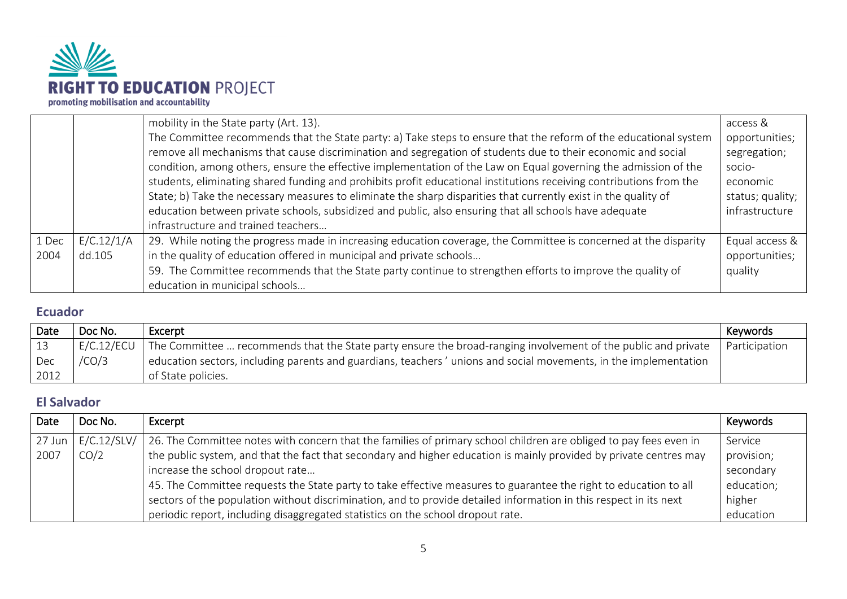

|       |            | mobility in the State party (Art. 13).                                                                              | access &         |
|-------|------------|---------------------------------------------------------------------------------------------------------------------|------------------|
|       |            | The Committee recommends that the State party: a) Take steps to ensure that the reform of the educational system    | opportunities;   |
|       |            | remove all mechanisms that cause discrimination and segregation of students due to their economic and social        | segregation;     |
|       |            | condition, among others, ensure the effective implementation of the Law on Equal governing the admission of the     | socio-           |
|       |            | students, eliminating shared funding and prohibits profit educational institutions receiving contributions from the | economic         |
|       |            | State; b) Take the necessary measures to eliminate the sharp disparities that currently exist in the quality of     | status; quality; |
|       |            | education between private schools, subsidized and public, also ensuring that all schools have adequate              | infrastructure   |
|       |            | infrastructure and trained teachers                                                                                 |                  |
| 1 Dec | E/C.12/1/A | 29. While noting the progress made in increasing education coverage, the Committee is concerned at the disparity    | Equal access &   |
| 2004  | dd.105     | in the quality of education offered in municipal and private schools                                                | opportunities;   |
|       |            | 59. The Committee recommends that the State party continue to strengthen efforts to improve the quality of          | quality          |
|       |            | education in municipal schools                                                                                      |                  |

### <span id="page-4-0"></span>**Ecuador**

| Date       | Doc No.    | Excerpt                                                                                                          | Keywords      |
|------------|------------|------------------------------------------------------------------------------------------------------------------|---------------|
| $\vert$ 13 | E/C.12/ECU | The Committee  recommends that the State party ensure the broad-ranging involvement of the public and private    | Participation |
| $ $ Dec    | /CO/3      | education sectors, including parents and guardians, teachers 'unions and social movements, in the implementation |               |
| 2012       |            | of State policies.                                                                                               |               |

## <span id="page-4-1"></span>**El Salvador**

| Date   | Doc No.     | Excerpt                                                                                                            | Keywords   |
|--------|-------------|--------------------------------------------------------------------------------------------------------------------|------------|
| 27 Jun | E/C.12/SLV/ | 26. The Committee notes with concern that the families of primary school children are obliged to pay fees even in  | Service    |
| 2007   | CO/2        | the public system, and that the fact that secondary and higher education is mainly provided by private centres may | provision; |
|        |             | increase the school dropout rate                                                                                   | secondary  |
|        |             | 45. The Committee requests the State party to take effective measures to guarantee the right to education to all   | education; |
|        |             | sectors of the population without discrimination, and to provide detailed information in this respect in its next  | higher     |
|        |             | periodic report, including disaggregated statistics on the school dropout rate.                                    | education  |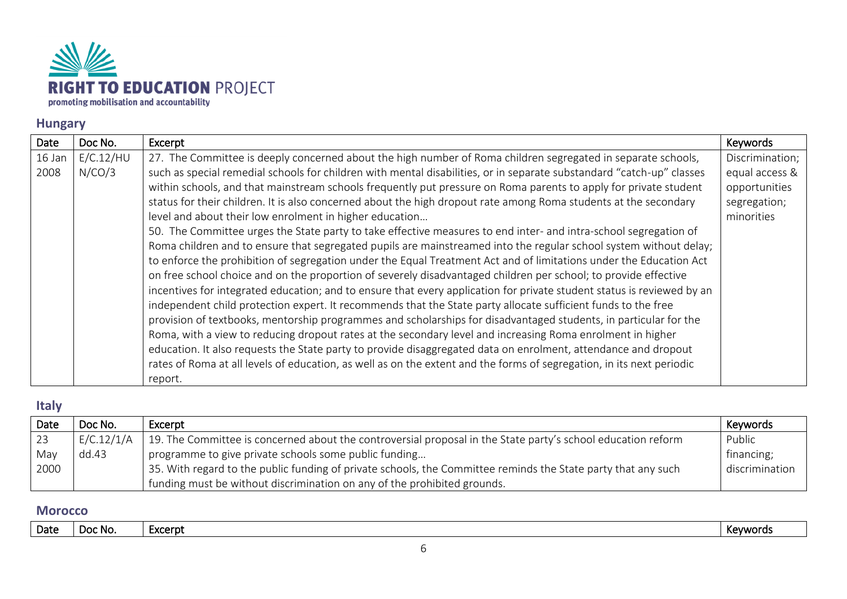

## <span id="page-5-0"></span>**Hungary**

| Date   | Doc No.   | Excerpt                                                                                                                | Keywords        |
|--------|-----------|------------------------------------------------------------------------------------------------------------------------|-----------------|
| 16 Jan | E/C.12/HU | 27. The Committee is deeply concerned about the high number of Roma children segregated in separate schools,           | Discrimination; |
| 2008   | N/CO/3    | such as special remedial schools for children with mental disabilities, or in separate substandard "catch-up" classes  | equal access &  |
|        |           | within schools, and that mainstream schools frequently put pressure on Roma parents to apply for private student       | opportunities   |
|        |           | status for their children. It is also concerned about the high dropout rate among Roma students at the secondary       | segregation;    |
|        |           | level and about their low enrolment in higher education                                                                | minorities      |
|        |           | 50. The Committee urges the State party to take effective measures to end inter- and intra-school segregation of       |                 |
|        |           | Roma children and to ensure that segregated pupils are mainstreamed into the regular school system without delay;      |                 |
|        |           | to enforce the prohibition of segregation under the Equal Treatment Act and of limitations under the Education Act     |                 |
|        |           | on free school choice and on the proportion of severely disadvantaged children per school; to provide effective        |                 |
|        |           | incentives for integrated education; and to ensure that every application for private student status is reviewed by an |                 |
|        |           | independent child protection expert. It recommends that the State party allocate sufficient funds to the free          |                 |
|        |           | provision of textbooks, mentorship programmes and scholarships for disadvantaged students, in particular for the       |                 |
|        |           | Roma, with a view to reducing dropout rates at the secondary level and increasing Roma enrolment in higher             |                 |
|        |           | education. It also requests the State party to provide disaggregated data on enrolment, attendance and dropout         |                 |
|        |           | rates of Roma at all levels of education, as well as on the extent and the forms of segregation, in its next periodic  |                 |
|        |           | report.                                                                                                                |                 |

#### <span id="page-5-1"></span>**Italy**

| Date | Doc No.    | Excerpt                                                                                                                    | Keywords       |
|------|------------|----------------------------------------------------------------------------------------------------------------------------|----------------|
| 23   | E/C.12/1/A | 19. The Committee is concerned about the controversial proposal in the State party's school education reform               | Public         |
| May  | dd.43      | programme to give private schools some public funding                                                                      | financing;     |
| 2000 |            | <sup>1</sup> 35. With regard to the public funding of private schools, the Committee reminds the State party that any such | discrimination |
|      |            | funding must be without discrimination on any of the prohibited grounds.                                                   |                |

#### <span id="page-5-2"></span>**Morocco**

|  | Date | - Doc<br>: NO. | :xcerpl | <b>EXAMPLE</b><br>nc.<br>. |
|--|------|----------------|---------|----------------------------|
|--|------|----------------|---------|----------------------------|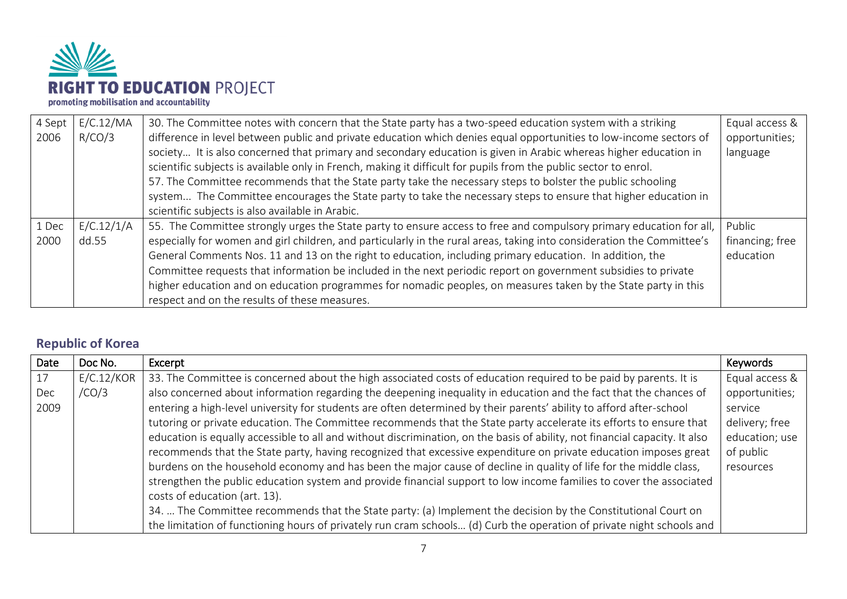

| 4 Sept | E/C.12/MA  | 30. The Committee notes with concern that the State party has a two-speed education system with a striking             | Equal access &  |
|--------|------------|------------------------------------------------------------------------------------------------------------------------|-----------------|
| 2006   | R/CO/3     | difference in level between public and private education which denies equal opportunities to low-income sectors of     | opportunities;  |
|        |            | society It is also concerned that primary and secondary education is given in Arabic whereas higher education in       | language        |
|        |            | scientific subjects is available only in French, making it difficult for pupils from the public sector to enrol.       |                 |
|        |            | 57. The Committee recommends that the State party take the necessary steps to bolster the public schooling             |                 |
|        |            | system The Committee encourages the State party to take the necessary steps to ensure that higher education in         |                 |
|        |            | scientific subjects is also available in Arabic.                                                                       |                 |
| 1 Dec  | E/C.12/1/A | 55. The Committee strongly urges the State party to ensure access to free and compulsory primary education for all,    | Public          |
| 2000   | dd.55      | especially for women and girl children, and particularly in the rural areas, taking into consideration the Committee's | financing; free |
|        |            | General Comments Nos. 11 and 13 on the right to education, including primary education. In addition, the               | education       |
|        |            | Committee requests that information be included in the next periodic report on government subsidies to private         |                 |
|        |            | higher education and on education programmes for nomadic peoples, on measures taken by the State party in this         |                 |
|        |            | respect and on the results of these measures.                                                                          |                 |

## <span id="page-6-0"></span>**Republic of Korea**

| Date | Doc No.    | Excerpt                                                                                                                     | Keywords       |
|------|------------|-----------------------------------------------------------------------------------------------------------------------------|----------------|
| 17   | E/C.12/KOR | 33. The Committee is concerned about the high associated costs of education required to be paid by parents. It is           | Equal access & |
| Dec  | /CO/3      | also concerned about information regarding the deepening inequality in education and the fact that the chances of           | opportunities; |
| 2009 |            | entering a high-level university for students are often determined by their parents' ability to afford after-school         | service        |
|      |            | tutoring or private education. The Committee recommends that the State party accelerate its efforts to ensure that          | delivery; free |
|      |            | education is equally accessible to all and without discrimination, on the basis of ability, not financial capacity. It also | education; use |
|      |            | recommends that the State party, having recognized that excessive expenditure on private education imposes great            | of public      |
|      |            | burdens on the household economy and has been the major cause of decline in quality of life for the middle class,           | resources      |
|      |            | strengthen the public education system and provide financial support to low income families to cover the associated         |                |
|      |            | costs of education (art. 13).                                                                                               |                |
|      |            | 34.  The Committee recommends that the State party: (a) Implement the decision by the Constitutional Court on               |                |
|      |            | the limitation of functioning hours of privately run cram schools (d) Curb the operation of private night schools and       |                |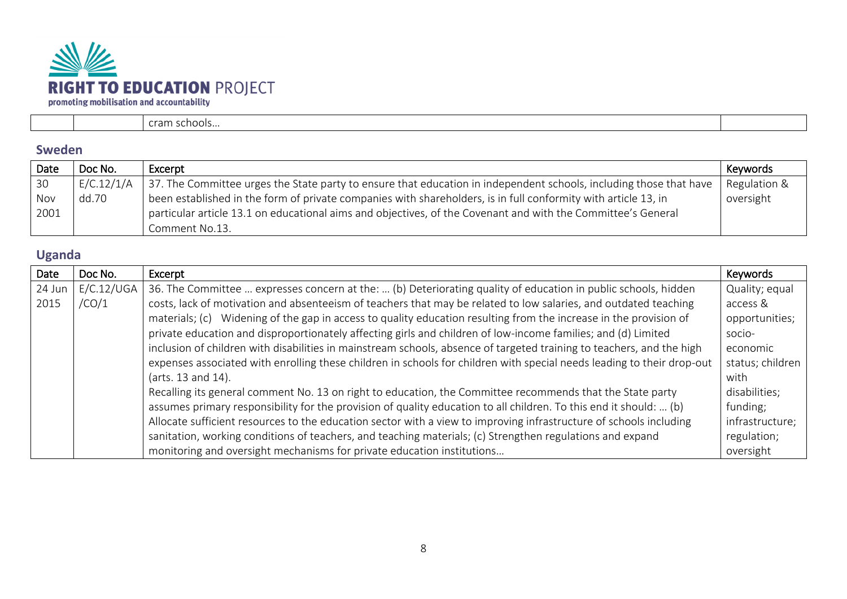

|  | 10013 |  |
|--|-------|--|

#### <span id="page-7-0"></span>**Sweden**

| Date | Doc No.    | Excerpt                                                                                                            | Keywords     |
|------|------------|--------------------------------------------------------------------------------------------------------------------|--------------|
| 30   | E/C.12/1/A | 37. The Committee urges the State party to ensure that education in independent schools, including those that have | Regulation & |
| Nov  | dd.70      | been established in the form of private companies with shareholders, is in full conformity with article 13, in     | oversight    |
| 2001 |            | particular article 13.1 on educational aims and objectives, of the Covenant and with the Committee's General       |              |
|      |            | Comment No.13.                                                                                                     |              |

## <span id="page-7-1"></span>**Uganda**

| Date   | Doc No.    | Excerpt                                                                                                                | Keywords         |
|--------|------------|------------------------------------------------------------------------------------------------------------------------|------------------|
| 24 Jun | E/C.12/UGA | 36. The Committee  expresses concern at the:  (b) Deteriorating quality of education in public schools, hidden         | Quality; equal   |
| 2015   | /CO/1      | costs, lack of motivation and absenteeism of teachers that may be related to low salaries, and outdated teaching       | access &         |
|        |            | materials; (c) Widening of the gap in access to quality education resulting from the increase in the provision of      | opportunities;   |
|        |            | private education and disproportionately affecting girls and children of low-income families; and (d) Limited          | socio-           |
|        |            | inclusion of children with disabilities in mainstream schools, absence of targeted training to teachers, and the high  | economic         |
|        |            | expenses associated with enrolling these children in schools for children with special needs leading to their drop-out | status; children |
|        |            | (arts. 13 and 14).                                                                                                     | with             |
|        |            | Recalling its general comment No. 13 on right to education, the Committee recommends that the State party              | disabilities;    |
|        |            | assumes primary responsibility for the provision of quality education to all children. To this end it should:  (b)     | funding;         |
|        |            | Allocate sufficient resources to the education sector with a view to improving infrastructure of schools including     | infrastructure;  |
|        |            | sanitation, working conditions of teachers, and teaching materials; (c) Strengthen regulations and expand              | regulation;      |
|        |            | monitoring and oversight mechanisms for private education institutions                                                 | oversight        |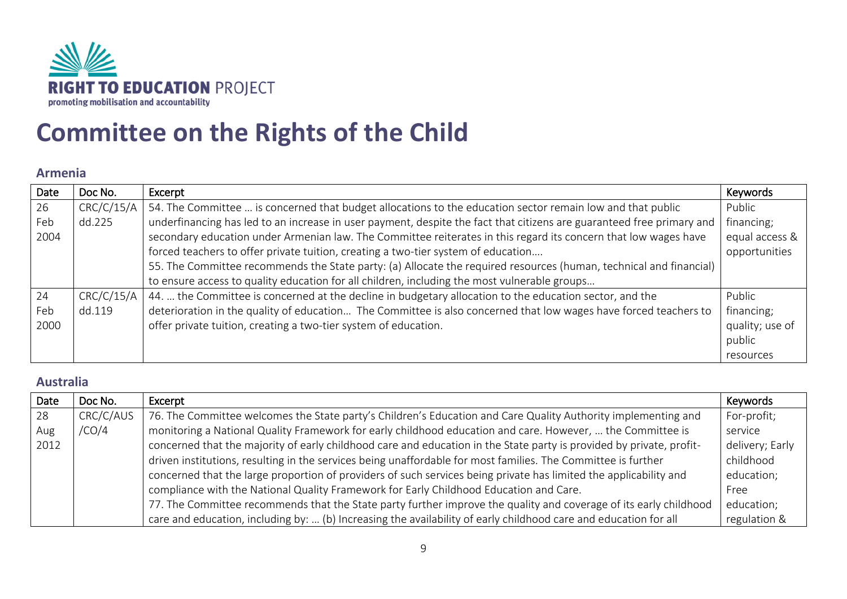

## <span id="page-8-0"></span>**Committee on the Rights of the Child**

#### <span id="page-8-1"></span>**Armenia**

| Date | Doc No.    | Excerpt                                                                                                               | Keywords        |
|------|------------|-----------------------------------------------------------------------------------------------------------------------|-----------------|
| 26   | CRC/C/15/A | 54. The Committee  is concerned that budget allocations to the education sector remain low and that public            | Public          |
| Feb  | dd.225     | underfinancing has led to an increase in user payment, despite the fact that citizens are guaranteed free primary and | financing;      |
| 2004 |            | secondary education under Armenian law. The Committee reiterates in this regard its concern that low wages have       | equal access &  |
|      |            | forced teachers to offer private tuition, creating a two-tier system of education                                     | opportunities   |
|      |            | 55. The Committee recommends the State party: (a) Allocate the required resources (human, technical and financial)    |                 |
|      |            | to ensure access to quality education for all children, including the most vulnerable groups                          |                 |
| 24   | CRC/C/15/A | 44.  the Committee is concerned at the decline in budgetary allocation to the education sector, and the               | Public          |
| Feb  | dd.119     | deterioration in the quality of education The Committee is also concerned that low wages have forced teachers to      | financing;      |
| 2000 |            | offer private tuition, creating a two-tier system of education.                                                       | quality; use of |
|      |            |                                                                                                                       | public          |
|      |            |                                                                                                                       | resources       |

#### <span id="page-8-2"></span>**Australia**

| Date | Doc No.   | Excerpt                                                                                                              | Keywords        |
|------|-----------|----------------------------------------------------------------------------------------------------------------------|-----------------|
| 28   | CRC/C/AUS | 76. The Committee welcomes the State party's Children's Education and Care Quality Authority implementing and        | For-profit;     |
| Aug  | /CO/4     | monitoring a National Quality Framework for early childhood education and care. However,  the Committee is           | service         |
| 2012 |           | concerned that the majority of early childhood care and education in the State party is provided by private, profit- | delivery; Early |
|      |           | driven institutions, resulting in the services being unaffordable for most families. The Committee is further        | childhood       |
|      |           | concerned that the large proportion of providers of such services being private has limited the applicability and    | education;      |
|      |           | compliance with the National Quality Framework for Early Childhood Education and Care.                               | Free            |
|      |           | 77. The Committee recommends that the State party further improve the quality and coverage of its early childhood    | education;      |
|      |           | care and education, including by:  (b) Increasing the availability of early childhood care and education for all     | regulation &    |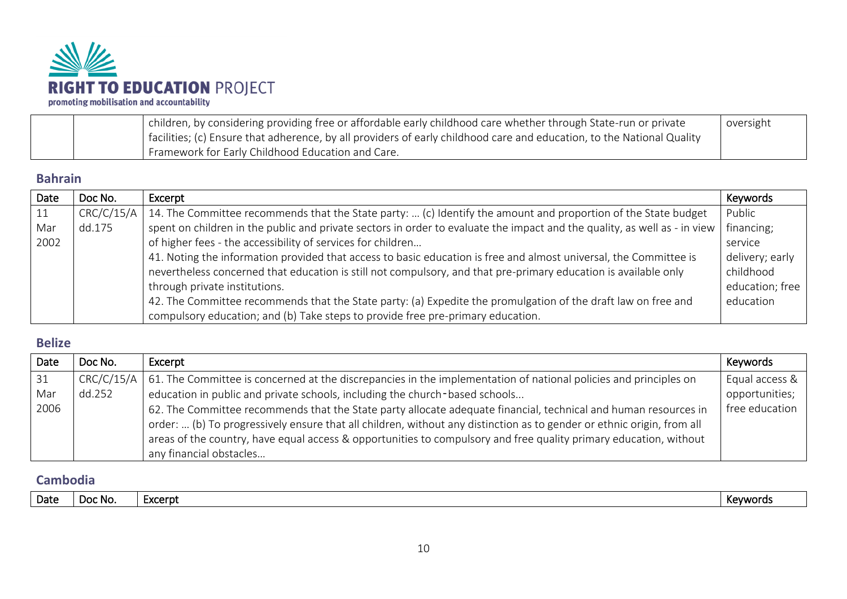

| children, by considering providing free or affordable early childhood care whether through State-run or private        | oversight |
|------------------------------------------------------------------------------------------------------------------------|-----------|
| facilities; (c) Ensure that adherence, by all providers of early childhood care and education, to the National Quality |           |
| Framework for Early Childhood Education and Care.                                                                      |           |

#### <span id="page-9-0"></span>**Bahrain**

| Date | Doc No.    | Excerpt                                                                                                                                      | Keywords        |
|------|------------|----------------------------------------------------------------------------------------------------------------------------------------------|-----------------|
| 11   | CRC/C/15/A | 14. The Committee recommends that the State party:  (c) Identify the amount and proportion of the State budget                               | Public          |
| Mar  | dd.175     | spent on children in the public and private sectors in order to evaluate the impact and the quality, as well as - in view $\vert$ financing; |                 |
| 2002 |            | of higher fees - the accessibility of services for children                                                                                  | service         |
|      |            | 41. Noting the information provided that access to basic education is free and almost universal, the Committee is                            | delivery; early |
|      |            | nevertheless concerned that education is still not compulsory, and that pre-primary education is available only                              | childhood       |
|      |            | through private institutions.                                                                                                                | education; free |
|      |            | 42. The Committee recommends that the State party: (a) Expedite the promulgation of the draft law on free and                                | education       |
|      |            | compulsory education; and (b) Take steps to provide free pre-primary education.                                                              |                 |

#### <span id="page-9-1"></span>**Belize**

| Date | Doc No.    | Excerpt                                                                                                                                                                                                                                     | Keywords       |
|------|------------|---------------------------------------------------------------------------------------------------------------------------------------------------------------------------------------------------------------------------------------------|----------------|
| 31   | CRC/C/15/A | 61. The Committee is concerned at the discrepancies in the implementation of national policies and principles on                                                                                                                            | Equal access & |
| Mar  | dd.252     | education in public and private schools, including the church-based schools                                                                                                                                                                 | opportunities; |
| 2006 |            | 62. The Committee recommends that the State party allocate adequate financial, technical and human resources in                                                                                                                             | free education |
|      |            | order:  (b) To progressively ensure that all children, without any distinction as to gender or ethnic origin, from all<br>areas of the country, have equal access & opportunities to compulsory and free quality primary education, without |                |
|      |            | any financial obstacles                                                                                                                                                                                                                     |                |

#### <span id="page-9-2"></span>**Cambodia**

| Date<br>Excerpt<br>Doc No.<br>Kevword. |
|----------------------------------------|
|----------------------------------------|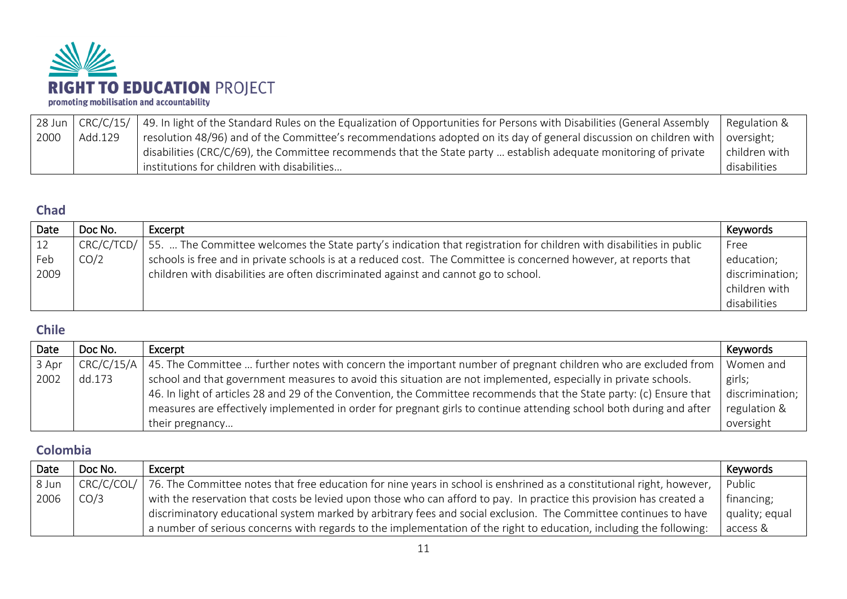

| $28$ Jun |         | $\mid$ CRC/C/15/ $\mid$ 49. In light of the Standard Rules on the Equalization of Opportunities for Persons with Disabilities (General Assembly | Regulation &  |
|----------|---------|-------------------------------------------------------------------------------------------------------------------------------------------------|---------------|
| 2000     | Add.129 | resolution 48/96) and of the Committee's recommendations adopted on its day of general discussion on children with $\vert$ oversight;           |               |
|          |         | disabilities (CRC/C/69), the Committee recommends that the State party  establish adequate monitoring of private                                | children with |
|          |         | I institutions for children with disabilities                                                                                                   | disabilities  |

#### <span id="page-10-0"></span>**Chad**

| Date | Doc No.    | Excerpt                                                                                                             | Keywords        |
|------|------------|---------------------------------------------------------------------------------------------------------------------|-----------------|
|      | CRC/C/TCD/ | 55.  The Committee welcomes the State party's indication that registration for children with disabilities in public | Free            |
| Feb  | CO/2       | schools is free and in private schools is at a reduced cost. The Committee is concerned however, at reports that    | education;      |
| 2009 |            | children with disabilities are often discriminated against and cannot go to school.                                 | discrimination; |
|      |            |                                                                                                                     | children with   |
|      |            |                                                                                                                     | disabilities    |

#### <span id="page-10-1"></span>**Chile**

| Date  | Doc No. | Excerpt                                                                                                                     | Keywords        |
|-------|---------|-----------------------------------------------------------------------------------------------------------------------------|-----------------|
| 3 Apr |         | CRC/C/15/A   45. The Committee  further notes with concern the important number of pregnant children who are excluded from  | Women and       |
| 2002  | dd.173  | school and that government measures to avoid this situation are not implemented, especially in private schools.             | girls;          |
|       |         | $\mid$ 46. In light of articles 28 and 29 of the Convention, the Committee recommends that the State party: (c) Ensure that | discrimination; |
|       |         | measures are effectively implemented in order for pregnant girls to continue attending school both during and after         | regulation &    |
|       |         | their pregnancy                                                                                                             | oversight       |

## <span id="page-10-2"></span>**Colombia**

| Date  | Doc No.    | Excerpt                                                                                                               | Keywords       |
|-------|------------|-----------------------------------------------------------------------------------------------------------------------|----------------|
| 8 Jun | CRC/C/COL/ | 76. The Committee notes that free education for nine years in school is enshrined as a constitutional right, however, | Public         |
| 2006  | CO/3       | with the reservation that costs be levied upon those who can afford to pay. In practice this provision has created a  | financing;     |
|       |            | discriminatory educational system marked by arbitrary fees and social exclusion. The Committee continues to have      | quality; equal |
|       |            | a number of serious concerns with regards to the implementation of the right to education, including the following:   | access &       |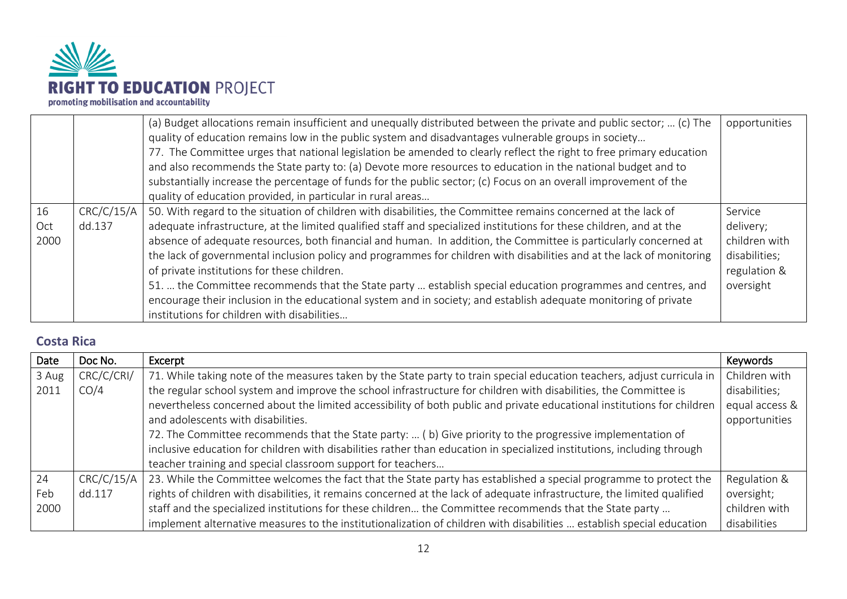

|                                            | (a) Budget allocations remain insufficient and unequally distributed between the private and public sector;  (c) The<br>quality of education remains low in the public system and disadvantages vulnerable groups in society<br>77. The Committee urges that national legislation be amended to clearly reflect the right to free primary education<br>and also recommends the State party to: (a) Devote more resources to education in the national budget and to<br>substantially increase the percentage of funds for the public sector; (c) Focus on an overall improvement of the<br>quality of education provided, in particular in rural areas                                                                                                                                                              | opportunities                                                                       |
|--------------------------------------------|---------------------------------------------------------------------------------------------------------------------------------------------------------------------------------------------------------------------------------------------------------------------------------------------------------------------------------------------------------------------------------------------------------------------------------------------------------------------------------------------------------------------------------------------------------------------------------------------------------------------------------------------------------------------------------------------------------------------------------------------------------------------------------------------------------------------|-------------------------------------------------------------------------------------|
| CRC/C/15/A<br>16<br>dd.137<br>Oct.<br>2000 | 50. With regard to the situation of children with disabilities, the Committee remains concerned at the lack of<br>adequate infrastructure, at the limited qualified staff and specialized institutions for these children, and at the<br>absence of adequate resources, both financial and human. In addition, the Committee is particularly concerned at<br>the lack of governmental inclusion policy and programmes for children with disabilities and at the lack of monitoring<br>of private institutions for these children.<br>51.  the Committee recommends that the State party  establish special education programmes and centres, and<br>encourage their inclusion in the educational system and in society; and establish adequate monitoring of private<br>institutions for children with disabilities | Service<br>delivery;<br>children with<br>disabilities;<br>regulation &<br>oversight |

#### <span id="page-11-0"></span>**Costa Rica**

| Date  | Doc No.    | Excerpt                                                                                                                  | Keywords       |
|-------|------------|--------------------------------------------------------------------------------------------------------------------------|----------------|
| 3 Aug | CRC/C/CRI/ | 71. While taking note of the measures taken by the State party to train special education teachers, adjust curricula in  | Children with  |
| 2011  | CO/4       | the regular school system and improve the school infrastructure for children with disabilities, the Committee is         | disabilities;  |
|       |            | nevertheless concerned about the limited accessibility of both public and private educational institutions for children  | equal access & |
|       |            | and adolescents with disabilities.                                                                                       | opportunities  |
|       |            | 72. The Committee recommends that the State party:  (b) Give priority to the progressive implementation of               |                |
|       |            | inclusive education for children with disabilities rather than education in specialized institutions, including through  |                |
|       |            | teacher training and special classroom support for teachers                                                              |                |
| 24    | CRC/C/15/A | 23. While the Committee welcomes the fact that the State party has established a special programme to protect the        | Regulation &   |
| Feb   | dd.117     | rights of children with disabilities, it remains concerned at the lack of adequate infrastructure, the limited qualified | oversight;     |
| 2000  |            | staff and the specialized institutions for these children the Committee recommends that the State party                  | children with  |
|       |            | implement alternative measures to the institutionalization of children with disabilities  establish special education    | disabilities   |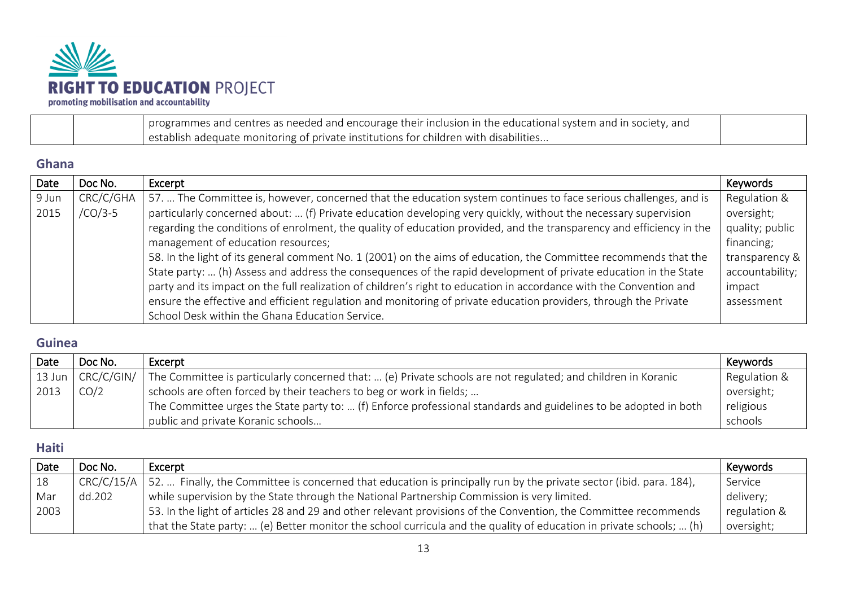

|  | programmes and centres as needed and encourage their inclusion in the educational system and in society, and |  |
|--|--------------------------------------------------------------------------------------------------------------|--|
|  | I establish adequate monitoring of private institutions for children with disabilities                       |  |

#### <span id="page-12-0"></span>**Ghana**

| Date  | Doc No.   | Excerpt                                                                                                              | Keywords        |
|-------|-----------|----------------------------------------------------------------------------------------------------------------------|-----------------|
| 9 Jun | CRC/C/GHA | 57.  The Committee is, however, concerned that the education system continues to face serious challenges, and is     | Regulation &    |
| 2015  | $/CO/3-5$ | particularly concerned about:  (f) Private education developing very quickly, without the necessary supervision      | oversight;      |
|       |           | regarding the conditions of enrolment, the quality of education provided, and the transparency and efficiency in the | quality; public |
|       |           | management of education resources;                                                                                   | financing;      |
|       |           | 58. In the light of its general comment No. 1 (2001) on the aims of education, the Committee recommends that the     | transparency &  |
|       |           | State party:  (h) Assess and address the consequences of the rapid development of private education in the State     | accountability; |
|       |           | party and its impact on the full realization of children's right to education in accordance with the Convention and  | impact          |
|       |           | ensure the effective and efficient regulation and monitoring of private education providers, through the Private     | assessment      |
|       |           | School Desk within the Ghana Education Service.                                                                      |                 |

### <span id="page-12-1"></span>**Guinea**

| Date             | Doc No.    | Excerpt                                                                                                          | Keywords     |
|------------------|------------|------------------------------------------------------------------------------------------------------------------|--------------|
| $13$ Jun $\vert$ | CRC/C/GIN/ | The Committee is particularly concerned that:  (e) Private schools are not regulated; and children in Koranic    | Regulation & |
| 2013             | CO/2       | schools are often forced by their teachers to beg or work in fields;                                             | oversight;   |
|                  |            | The Committee urges the State party to:  (f) Enforce professional standards and guidelines to be adopted in both | religious    |
|                  |            | public and private Koranic schools                                                                               | schools      |

#### <span id="page-12-2"></span>**Haiti**

| Date | Doc No.    | Excerpt                                                                                                              | Keywords     |
|------|------------|----------------------------------------------------------------------------------------------------------------------|--------------|
| 18   | CRC/C/15/A | 52.  Finally, the Committee is concerned that education is principally run by the private sector (ibid. para. 184),  | Service      |
| Mar  | dd.202     | while supervision by the State through the National Partnership Commission is very limited.                          | delivery;    |
| 2003 |            | 53. In the light of articles 28 and 29 and other relevant provisions of the Convention, the Committee recommends     | regulation & |
|      |            | that the State party:  (e) Better monitor the school curricula and the quality of education in private schools;  (h) | oversight;   |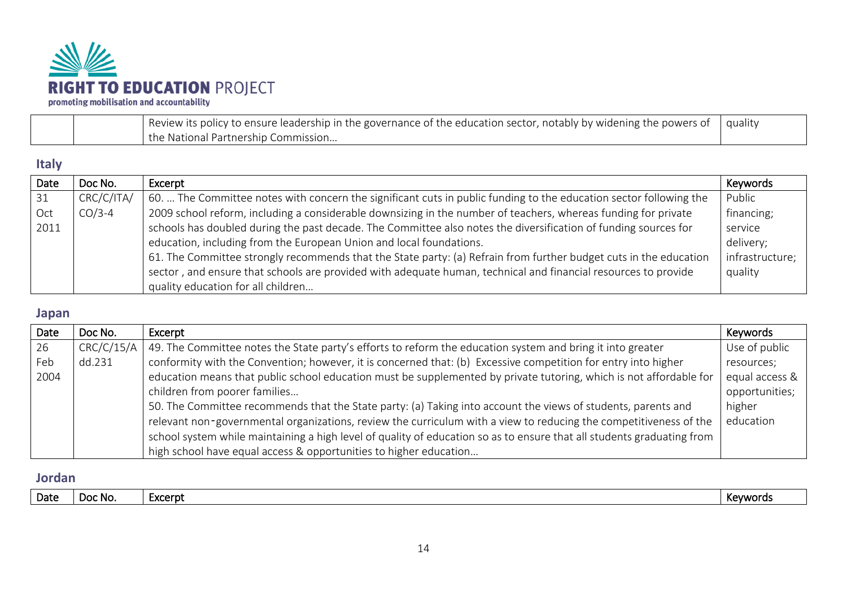

|  | Review its policy to ensure leadership in the governance of the education sector, notably by widening the powers of | quality |
|--|---------------------------------------------------------------------------------------------------------------------|---------|
|  | l the National Partnership Commission                                                                               |         |

#### <span id="page-13-0"></span>**Italy**

| Date | Doc No.    | Excerpt                                                                                                            | Keywords        |
|------|------------|--------------------------------------------------------------------------------------------------------------------|-----------------|
| 31   | CRC/C/ITA/ | 60.  The Committee notes with concern the significant cuts in public funding to the education sector following the | Public          |
| Oct  | $CO/3-4$   | 2009 school reform, including a considerable downsizing in the number of teachers, whereas funding for private     | financing;      |
| 2011 |            | schools has doubled during the past decade. The Committee also notes the diversification of funding sources for    | service         |
|      |            | education, including from the European Union and local foundations.                                                | delivery;       |
|      |            | 61. The Committee strongly recommends that the State party: (a) Refrain from further budget cuts in the education  | infrastructure; |
|      |            | sector, and ensure that schools are provided with adequate human, technical and financial resources to provide     | quality         |
|      |            | quality education for all children                                                                                 |                 |

## <span id="page-13-1"></span>**Japan**

| Date | Doc No.    | Excerpt                                                                                                                | Keywords       |
|------|------------|------------------------------------------------------------------------------------------------------------------------|----------------|
| 26   | CRC/C/15/A | 49. The Committee notes the State party's efforts to reform the education system and bring it into greater             | Use of public  |
| Feb  | dd.231     | conformity with the Convention; however, it is concerned that: (b) Excessive competition for entry into higher         | resources;     |
| 2004 |            | education means that public school education must be supplemented by private tutoring, which is not affordable for     | equal access & |
|      |            | children from poorer families                                                                                          | opportunities; |
|      |            | 50. The Committee recommends that the State party: (a) Taking into account the views of students, parents and          | higher         |
|      |            | relevant non-governmental organizations, review the curriculum with a view to reducing the competitiveness of the      | education      |
|      |            | school system while maintaining a high level of quality of education so as to ensure that all students graduating from |                |
|      |            | high school have equal access & opportunities to higher education                                                      |                |

### <span id="page-13-2"></span>**Jordan**

| Date<br>Evoornt<br>DOC NO.<br>1 L.J | Kevword: |
|-------------------------------------|----------|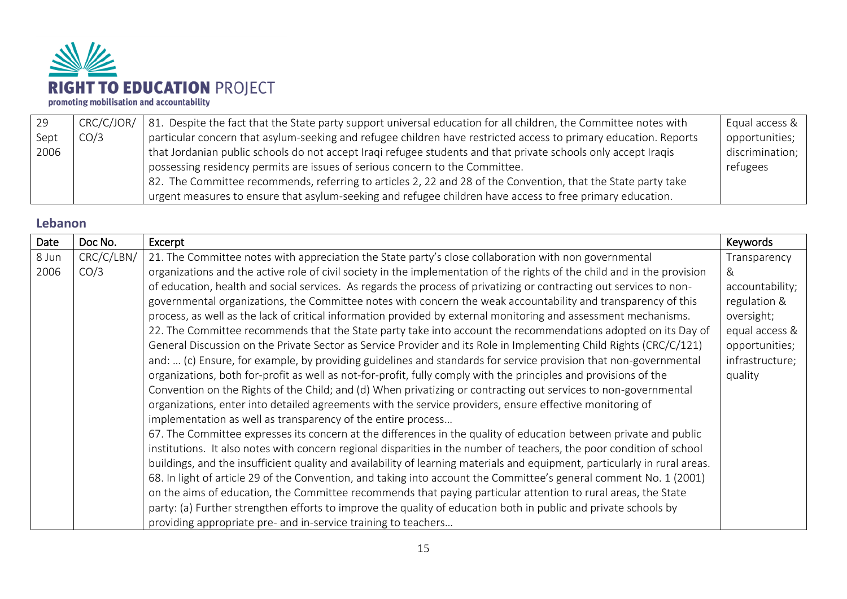

| 29   | CRC/C/JOR/ | 81. Despite the fact that the State party support universal education for all children, the Committee notes with | Equal access &  |
|------|------------|------------------------------------------------------------------------------------------------------------------|-----------------|
| Sept | CO/3       | particular concern that asylum-seeking and refugee children have restricted access to primary education. Reports | opportunities;  |
| 2006 |            | that Jordanian public schools do not accept Iraqi refugee students and that private schools only accept Iraqis   | discrimination; |
|      |            | possessing residency permits are issues of serious concern to the Committee.                                     | refugees        |
|      |            | 82. The Committee recommends, referring to articles 2, 22 and 28 of the Convention, that the State party take    |                 |
|      |            | urgent measures to ensure that asylum-seeking and refugee children have access to free primary education.        |                 |

#### <span id="page-14-0"></span>**Lebanon**

| Date  | Doc No.    | Excerpt                                                                                                                    | Keywords        |
|-------|------------|----------------------------------------------------------------------------------------------------------------------------|-----------------|
| 8 Jun | CRC/C/LBN/ | 21. The Committee notes with appreciation the State party's close collaboration with non governmental                      | Transparency    |
| 2006  | CO/3       | organizations and the active role of civil society in the implementation of the rights of the child and in the provision   | &               |
|       |            | of education, health and social services. As regards the process of privatizing or contracting out services to non-        | accountability; |
|       |            | governmental organizations, the Committee notes with concern the weak accountability and transparency of this              | regulation &    |
|       |            | process, as well as the lack of critical information provided by external monitoring and assessment mechanisms.            | oversight;      |
|       |            | 22. The Committee recommends that the State party take into account the recommendations adopted on its Day of              | equal access &  |
|       |            | General Discussion on the Private Sector as Service Provider and its Role in Implementing Child Rights (CRC/C/121)         | opportunities;  |
|       |            | and:  (c) Ensure, for example, by providing guidelines and standards for service provision that non-governmental           | infrastructure; |
|       |            | organizations, both for-profit as well as not-for-profit, fully comply with the principles and provisions of the           | quality         |
|       |            | Convention on the Rights of the Child; and (d) When privatizing or contracting out services to non-governmental            |                 |
|       |            | organizations, enter into detailed agreements with the service providers, ensure effective monitoring of                   |                 |
|       |            | implementation as well as transparency of the entire process                                                               |                 |
|       |            | 67. The Committee expresses its concern at the differences in the quality of education between private and public          |                 |
|       |            | institutions. It also notes with concern regional disparities in the number of teachers, the poor condition of school      |                 |
|       |            | buildings, and the insufficient quality and availability of learning materials and equipment, particularly in rural areas. |                 |
|       |            | 68. In light of article 29 of the Convention, and taking into account the Committee's general comment No. 1 (2001)         |                 |
|       |            | on the aims of education, the Committee recommends that paying particular attention to rural areas, the State              |                 |
|       |            | party: (a) Further strengthen efforts to improve the quality of education both in public and private schools by            |                 |
|       |            | providing appropriate pre- and in-service training to teachers                                                             |                 |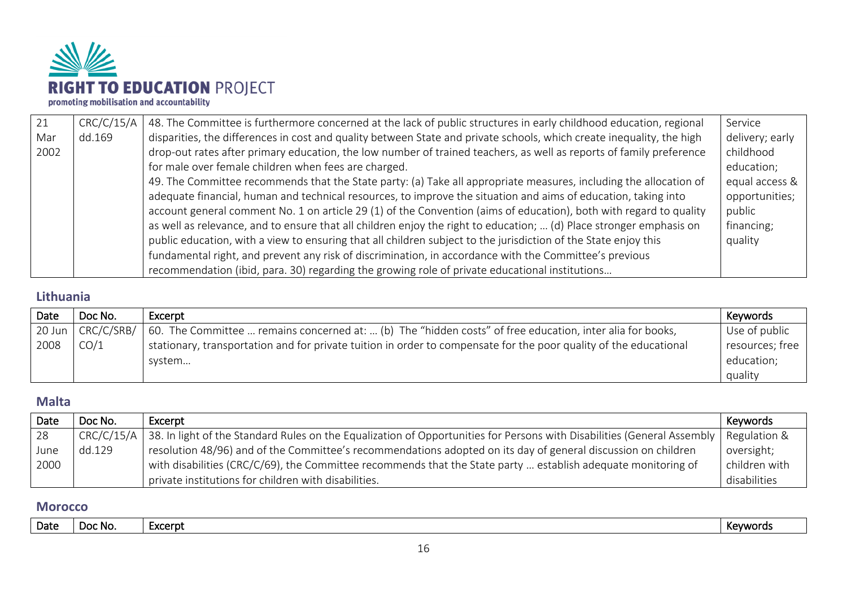

| 21   | CRC/C/15/A | 48. The Committee is furthermore concerned at the lack of public structures in early childhood education, regional    | Service         |
|------|------------|-----------------------------------------------------------------------------------------------------------------------|-----------------|
| Mar  | dd.169     | disparities, the differences in cost and quality between State and private schools, which create inequality, the high | delivery; early |
| 2002 |            | drop-out rates after primary education, the low number of trained teachers, as well as reports of family preference   | childhood       |
|      |            | for male over female children when fees are charged.                                                                  | education;      |
|      |            | 49. The Committee recommends that the State party: (a) Take all appropriate measures, including the allocation of     | equal access &  |
|      |            | adequate financial, human and technical resources, to improve the situation and aims of education, taking into        | opportunities;  |
|      |            | account general comment No. 1 on article 29 (1) of the Convention (aims of education), both with regard to quality    | public          |
|      |            | as well as relevance, and to ensure that all children enjoy the right to education;  (d) Place stronger emphasis on   | financing;      |
|      |            | public education, with a view to ensuring that all children subject to the jurisdiction of the State enjoy this       | quality         |
|      |            | fundamental right, and prevent any risk of discrimination, in accordance with the Committee's previous                |                 |
|      |            | recommendation (ibid, para. 30) regarding the growing role of private educational institutions                        |                 |

## <span id="page-15-0"></span>**Lithuania**

| Date     | Doc No.    | Excerpt                                                                                                           | Keywords        |
|----------|------------|-------------------------------------------------------------------------------------------------------------------|-----------------|
| $20$ Jun | CRC/C/SRB/ | 60. The Committee  remains concerned at:  (b) The "hidden costs" of free education, inter alia for books,         | Use of public   |
| 2008     | CO/1       | stationary, transportation and for private tuition in order to compensate for the poor quality of the educational | resources; free |
|          |            | system                                                                                                            | education;      |
|          |            |                                                                                                                   | quality         |

#### <span id="page-15-1"></span>**Malta**

| Date | Doc No. | Excerpt                                                                                                                                             | Keywords      |
|------|---------|-----------------------------------------------------------------------------------------------------------------------------------------------------|---------------|
| 28   |         | CRC/C/15/A   38. In light of the Standard Rules on the Equalization of Opportunities for Persons with Disabilities (General Assembly   Regulation & |               |
| June | dd.129  | resolution 48/96) and of the Committee's recommendations adopted on its day of general discussion on children                                       | oversight;    |
| 2000 |         | with disabilities (CRC/C/69), the Committee recommends that the State party  establish adequate monitoring of                                       | children with |
|      |         | private institutions for children with disabilities.                                                                                                | disabilities  |

#### <span id="page-15-2"></span>**Morocco**

| Date | - Doc No. | :xcerpt | $\n  number$<br>$\Delta$<br>- INC.<br>. |
|------|-----------|---------|-----------------------------------------|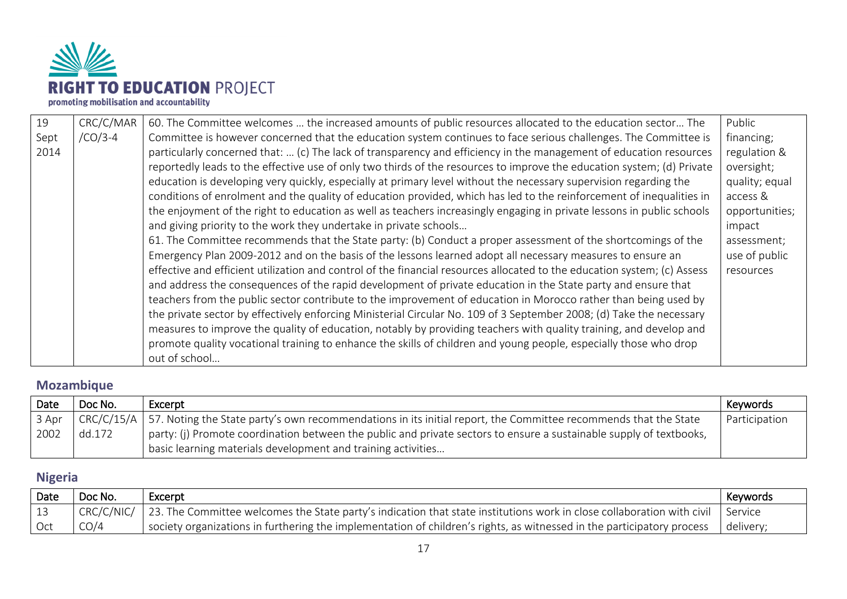

| 19   | CRC/C/MAR | 60. The Committee welcomes  the increased amounts of public resources allocated to the education sector The              | Public         |
|------|-----------|--------------------------------------------------------------------------------------------------------------------------|----------------|
| Sept | $/CO/3-4$ | Committee is however concerned that the education system continues to face serious challenges. The Committee is          | financing;     |
| 2014 |           | particularly concerned that:  (c) The lack of transparency and efficiency in the management of education resources       | regulation &   |
|      |           | reportedly leads to the effective use of only two thirds of the resources to improve the education system; (d) Private   | oversight;     |
|      |           | education is developing very quickly, especially at primary level without the necessary supervision regarding the        | quality; equal |
|      |           | conditions of enrolment and the quality of education provided, which has led to the reinforcement of inequalities in     | access &       |
|      |           | the enjoyment of the right to education as well as teachers increasingly engaging in private lessons in public schools   | opportunities; |
|      |           | and giving priority to the work they undertake in private schools                                                        | impact         |
|      |           | 61. The Committee recommends that the State party: (b) Conduct a proper assessment of the shortcomings of the            | assessment;    |
|      |           | Emergency Plan 2009-2012 and on the basis of the lessons learned adopt all necessary measures to ensure an               | use of public  |
|      |           | effective and efficient utilization and control of the financial resources allocated to the education system; (c) Assess | resources      |
|      |           | and address the consequences of the rapid development of private education in the State party and ensure that            |                |
|      |           | teachers from the public sector contribute to the improvement of education in Morocco rather than being used by          |                |
|      |           | the private sector by effectively enforcing Ministerial Circular No. 109 of 3 September 2008; (d) Take the necessary     |                |
|      |           | measures to improve the quality of education, notably by providing teachers with quality training, and develop and       |                |
|      |           | promote quality vocational training to enhance the skills of children and young people, especially those who drop        |                |
|      |           | out of school                                                                                                            |                |

## <span id="page-16-0"></span>**Mozambique**

| Date  | Doc No. | Excerpt                                                                                                                        | Keywords      |
|-------|---------|--------------------------------------------------------------------------------------------------------------------------------|---------------|
| 3 Apr |         | $CRC/C/15/A$   57. Noting the State party's own recommendations in its initial report, the Committee recommends that the State | Participation |
| 2002  | dd.172  | party: (j) Promote coordination between the public and private sectors to ensure a sustainable supply of textbooks,            |               |
|       |         | basic learning materials development and training activities                                                                   |               |

## <span id="page-16-1"></span>**Nigeria**

| Date | Doc No. | Excerpt                                                                                                                                       | Kevwords  |
|------|---------|-----------------------------------------------------------------------------------------------------------------------------------------------|-----------|
|      |         | CRC/C/NIC/   23. The Committee welcomes the State party's indication that state institutions work in close collaboration with civil   Service |           |
|      | CO/4    | society organizations in furthering the implementation of children's rights, as witnessed in the participatory process                        | delivery; |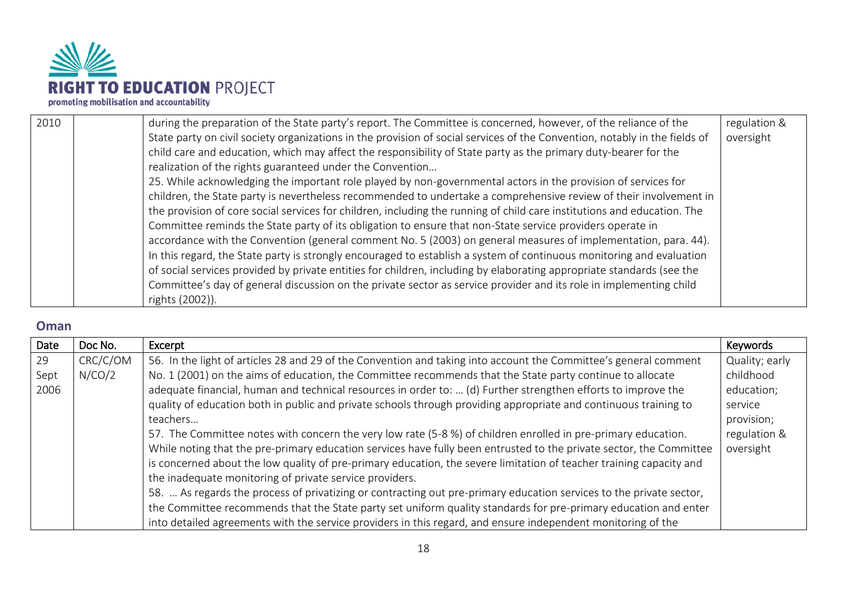

| 2010 | during the preparation of the State party's report. The Committee is concerned, however, of the reliance of the            | regulation & |
|------|----------------------------------------------------------------------------------------------------------------------------|--------------|
|      | State party on civil society organizations in the provision of social services of the Convention, notably in the fields of | oversight    |
|      | child care and education, which may affect the responsibility of State party as the primary duty-bearer for the            |              |
|      | realization of the rights guaranteed under the Convention                                                                  |              |
|      | 25. While acknowledging the important role played by non-governmental actors in the provision of services for              |              |
|      | children, the State party is nevertheless recommended to undertake a comprehensive review of their involvement in          |              |
|      | the provision of core social services for children, including the running of child care institutions and education. The    |              |
|      | Committee reminds the State party of its obligation to ensure that non-State service providers operate in                  |              |
|      | accordance with the Convention (general comment No. 5 (2003) on general measures of implementation, para. 44).             |              |
|      | In this regard, the State party is strongly encouraged to establish a system of continuous monitoring and evaluation       |              |
|      | of social services provided by private entities for children, including by elaborating appropriate standards (see the      |              |
|      | Committee's day of general discussion on the private sector as service provider and its role in implementing child         |              |
|      | rights (2002)).                                                                                                            |              |

#### <span id="page-17-0"></span>**Oman**

| Date | Doc No.  | Excerpt                                                                                                             | Keywords       |
|------|----------|---------------------------------------------------------------------------------------------------------------------|----------------|
| 29   | CRC/C/OM | 56. In the light of articles 28 and 29 of the Convention and taking into account the Committee's general comment    | Quality; early |
| Sept | N/CO/2   | No. 1 (2001) on the aims of education, the Committee recommends that the State party continue to allocate           | childhood      |
| 2006 |          | adequate financial, human and technical resources in order to:  (d) Further strengthen efforts to improve the       | education;     |
|      |          | quality of education both in public and private schools through providing appropriate and continuous training to    | service        |
|      |          | teachers                                                                                                            | provision;     |
|      |          | 57. The Committee notes with concern the very low rate (5-8 %) of children enrolled in pre-primary education.       | regulation &   |
|      |          | While noting that the pre-primary education services have fully been entrusted to the private sector, the Committee | oversight      |
|      |          | is concerned about the low quality of pre-primary education, the severe limitation of teacher training capacity and |                |
|      |          | the inadequate monitoring of private service providers.                                                             |                |
|      |          | 58.  As regards the process of privatizing or contracting out pre-primary education services to the private sector, |                |
|      |          | the Committee recommends that the State party set uniform quality standards for pre-primary education and enter     |                |
|      |          | into detailed agreements with the service providers in this regard, and ensure independent monitoring of the        |                |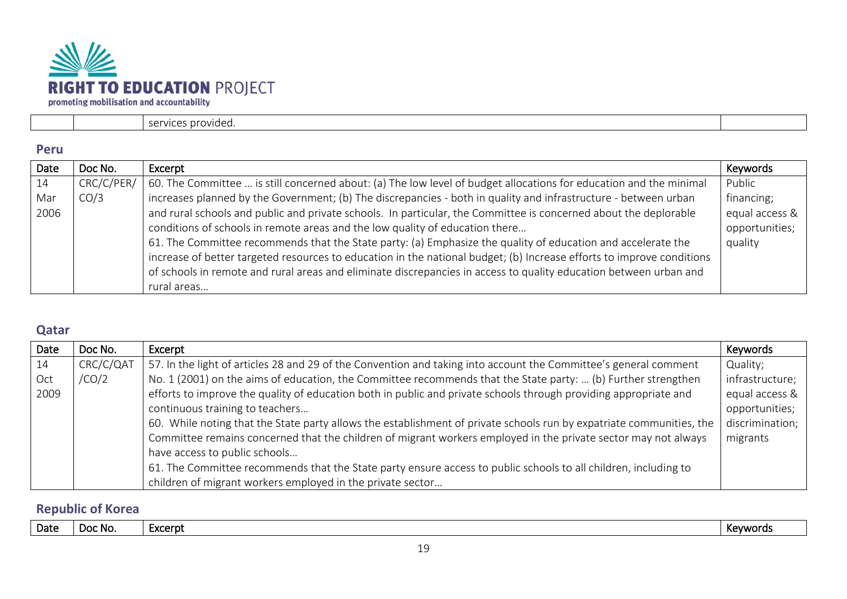

| 77 I C<br>n v<br>`` |  |
|---------------------|--|

#### <span id="page-18-0"></span>**Peru**

| Date | Doc No.    | Excerpt                                                                                                               | Keywords       |
|------|------------|-----------------------------------------------------------------------------------------------------------------------|----------------|
| 14   | CRC/C/PER/ | 60. The Committee  is still concerned about: (a) The low level of budget allocations for education and the minimal    | Public         |
| Mar  | CO/3       | increases planned by the Government; (b) The discrepancies - both in quality and infrastructure - between urban       | financing;     |
| 2006 |            | and rural schools and public and private schools. In particular, the Committee is concerned about the deplorable      | equal access & |
|      |            | conditions of schools in remote areas and the low quality of education there                                          | opportunities; |
|      |            | 61. The Committee recommends that the State party: (a) Emphasize the quality of education and accelerate the          | quality        |
|      |            | increase of better targeted resources to education in the national budget; (b) Increase efforts to improve conditions |                |
|      |            | of schools in remote and rural areas and eliminate discrepancies in access to quality education between urban and     |                |
|      |            | rural areas                                                                                                           |                |

#### <span id="page-18-1"></span>**Qatar**

| Date | Doc No.   | Excerpt                                                                                                              | Keywords        |
|------|-----------|----------------------------------------------------------------------------------------------------------------------|-----------------|
| 14   | CRC/C/QAT | 57. In the light of articles 28 and 29 of the Convention and taking into account the Committee's general comment     | Quality;        |
| Oct  | /CO/2     | No. 1 (2001) on the aims of education, the Committee recommends that the State party:  (b) Further strengthen        | infrastructure; |
| 2009 |           | efforts to improve the quality of education both in public and private schools through providing appropriate and     | equal access &  |
|      |           | continuous training to teachers                                                                                      | opportunities;  |
|      |           | 60. While noting that the State party allows the establishment of private schools run by expatriate communities, the | discrimination; |
|      |           | Committee remains concerned that the children of migrant workers employed in the private sector may not always       | migrants        |
|      |           | have access to public schools                                                                                        |                 |
|      |           | 61. The Committee recommends that the State party ensure access to public schools to all children, including to      |                 |
|      |           | children of migrant workers employed in the private sector                                                           |                 |

## <span id="page-18-2"></span>**Republic of Korea**

| Date | DOC NO. | -voornt | . .      |
|------|---------|---------|----------|
|      |         | ארבו מנ | Kevwords |
|      |         |         |          |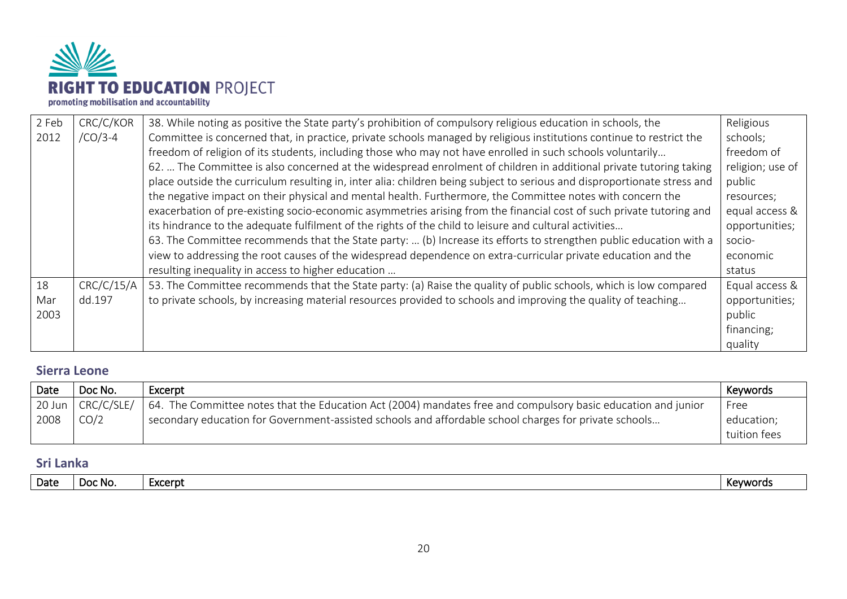

| 2 Feb | CRC/C/KOR  | 38. While noting as positive the State party's prohibition of compulsory religious education in schools, the             | Religious        |
|-------|------------|--------------------------------------------------------------------------------------------------------------------------|------------------|
| 2012  | $/CO/3-4$  | Committee is concerned that, in practice, private schools managed by religious institutions continue to restrict the     | schools;         |
|       |            | freedom of religion of its students, including those who may not have enrolled in such schools voluntarily               | freedom of       |
|       |            | 62.  The Committee is also concerned at the widespread enrolment of children in additional private tutoring taking       | religion; use of |
|       |            | place outside the curriculum resulting in, inter alia: children being subject to serious and disproportionate stress and | public           |
|       |            | the negative impact on their physical and mental health. Furthermore, the Committee notes with concern the               | resources;       |
|       |            | exacerbation of pre-existing socio-economic asymmetries arising from the financial cost of such private tutoring and     | equal access &   |
|       |            | its hindrance to the adequate fulfilment of the rights of the child to leisure and cultural activities                   | opportunities;   |
|       |            | 63. The Committee recommends that the State party:  (b) Increase its efforts to strengthen public education with a       | socio-           |
|       |            | view to addressing the root causes of the widespread dependence on extra-curricular private education and the            | economic         |
|       |            | resulting inequality in access to higher education                                                                       | status           |
| 18    | CRC/C/15/A | 53. The Committee recommends that the State party: (a) Raise the quality of public schools, which is low compared        | Equal access &   |
| Mar   | dd.197     | to private schools, by increasing material resources provided to schools and improving the quality of teaching           | opportunities;   |
| 2003  |            |                                                                                                                          | public           |
|       |            |                                                                                                                          | financing;       |
|       |            |                                                                                                                          | quality          |

#### <span id="page-19-0"></span>**Sierra Leone**

| Date | Doc No.                   | Excerpt                                                                                                       | Kevwords     |
|------|---------------------------|---------------------------------------------------------------------------------------------------------------|--------------|
|      | 20 Jun $\vert$ CRC/C/SLE/ | 64. The Committee notes that the Education Act (2004) mandates free and compulsory basic education and junior | Free         |
| 2008 | CO/2                      | secondary education for Government-assisted schools and affordable school charges for private schools         | education;   |
|      |                           |                                                                                                               | tuition fees |

#### <span id="page-19-1"></span>**Sri Lanka**

| Date | DOC NO. | -voorn<br>LAUCI NI | v<br>Keywords |
|------|---------|--------------------|---------------|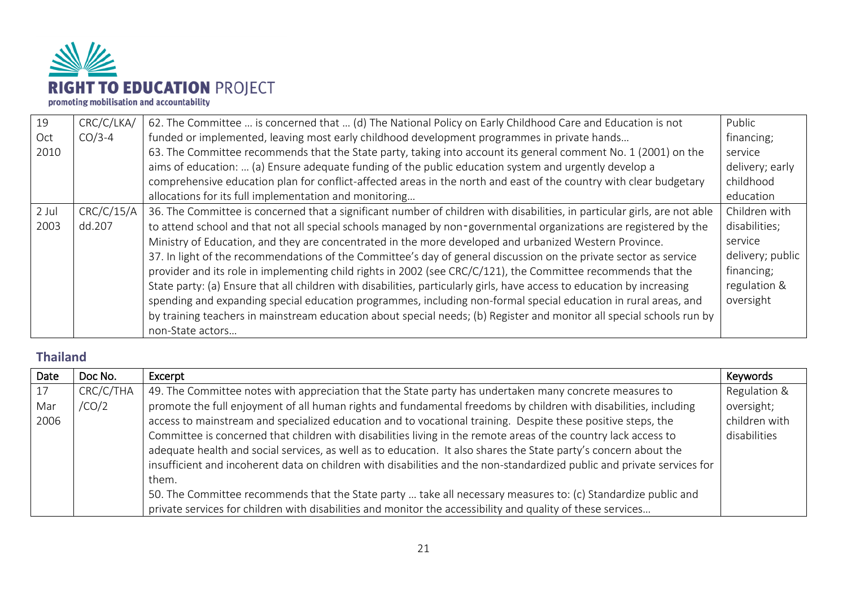

| 19      | CRC/C/LKA/ | 62. The Committee  is concerned that  (d) The National Policy on Early Childhood Care and Education is not                | Public           |
|---------|------------|---------------------------------------------------------------------------------------------------------------------------|------------------|
| Oct     | $CO/3-4$   | funded or implemented, leaving most early childhood development programmes in private hands                               | financing;       |
| 2010    |            | 63. The Committee recommends that the State party, taking into account its general comment No. 1 (2001) on the            | service          |
|         |            | aims of education:  (a) Ensure adequate funding of the public education system and urgently develop a                     | delivery; early  |
|         |            | comprehensive education plan for conflict-affected areas in the north and east of the country with clear budgetary        | childhood        |
|         |            | allocations for its full implementation and monitoring                                                                    | education        |
| $2$ Jul | CRC/C/15/A | 36. The Committee is concerned that a significant number of children with disabilities, in particular girls, are not able | Children with    |
| 2003    | dd.207     | to attend school and that not all special schools managed by non-governmental organizations are registered by the         | disabilities;    |
|         |            | Ministry of Education, and they are concentrated in the more developed and urbanized Western Province.                    | service          |
|         |            | 37. In light of the recommendations of the Committee's day of general discussion on the private sector as service         | delivery; public |
|         |            | provider and its role in implementing child rights in 2002 (see CRC/C/121), the Committee recommends that the             | financing;       |
|         |            | State party: (a) Ensure that all children with disabilities, particularly girls, have access to education by increasing   | regulation &     |
|         |            | spending and expanding special education programmes, including non-formal special education in rural areas, and           | oversight        |
|         |            | by training teachers in mainstream education about special needs; (b) Register and monitor all special schools run by     |                  |
|         |            | non-State actors                                                                                                          |                  |

## <span id="page-20-0"></span>**Thailand**

| Date | Doc No.   | Excerpt                                                                                                                 | Keywords      |
|------|-----------|-------------------------------------------------------------------------------------------------------------------------|---------------|
| 17   | CRC/C/THA | 49. The Committee notes with appreciation that the State party has undertaken many concrete measures to                 | Regulation &  |
| Mar  | /CO/2     | promote the full enjoyment of all human rights and fundamental freedoms by children with disabilities, including        | oversight;    |
| 2006 |           | access to mainstream and specialized education and to vocational training. Despite these positive steps, the            | children with |
|      |           | Committee is concerned that children with disabilities living in the remote areas of the country lack access to         | disabilities  |
|      |           | adequate health and social services, as well as to education. It also shares the State party's concern about the        |               |
|      |           | insufficient and incoherent data on children with disabilities and the non-standardized public and private services for |               |
|      |           | them.                                                                                                                   |               |
|      |           | 50. The Committee recommends that the State party  take all necessary measures to: (c) Standardize public and           |               |
|      |           | private services for children with disabilities and monitor the accessibility and quality of these services             |               |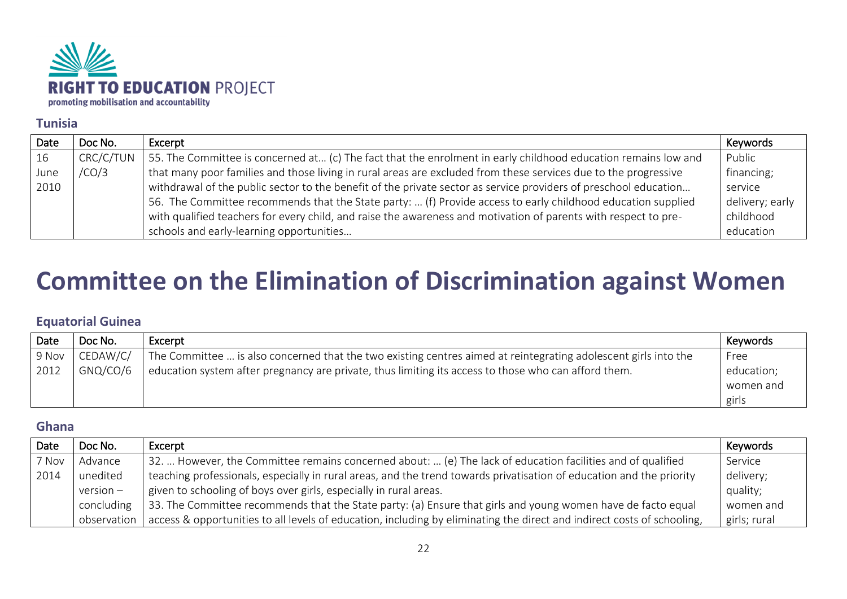

#### <span id="page-21-0"></span>**Tunisia**

| Date | Doc No.   | Excerpt                                                                                                          | Keywords        |
|------|-----------|------------------------------------------------------------------------------------------------------------------|-----------------|
| 16   | CRC/C/TUN | 55. The Committee is concerned at (c) The fact that the enrolment in early childhood education remains low and   | Public          |
| June | /CO/3     | that many poor families and those living in rural areas are excluded from these services due to the progressive  | financing;      |
| 2010 |           | withdrawal of the public sector to the benefit of the private sector as service providers of preschool education | service         |
|      |           | 56. The Committee recommends that the State party:  (f) Provide access to early childhood education supplied     | delivery; early |
|      |           | with qualified teachers for every child, and raise the awareness and motivation of parents with respect to pre-  | childhood       |
|      |           | schools and early-learning opportunities                                                                         | education       |

## <span id="page-21-1"></span>**Committee on the Elimination of Discrimination against Women**

#### <span id="page-21-2"></span>**Equatorial Guinea**

| Date  | Doc No.  | Excerpt                                                                                                         | Keywords   |
|-------|----------|-----------------------------------------------------------------------------------------------------------------|------------|
| 9 Nov | CEDAW/C/ | The Committee  is also concerned that the two existing centres aimed at reintegrating adolescent girls into the | Free       |
| 2012  | GNQ/CO/6 | education system after pregnancy are private, thus limiting its access to those who can afford them.            | education; |
|       |          |                                                                                                                 | women and  |
|       |          |                                                                                                                 | girls      |

#### <span id="page-21-3"></span>**Ghana**

| Date  | Doc No.     | Excerpt                                                                                                                 | Keywords     |
|-------|-------------|-------------------------------------------------------------------------------------------------------------------------|--------------|
| 7 Nov | Advance     | 32.  However, the Committee remains concerned about:  (e) The lack of education facilities and of qualified             | Service      |
| 2014  | unedited    | teaching professionals, especially in rural areas, and the trend towards privatisation of education and the priority    | delivery;    |
|       | $version -$ | given to schooling of boys over girls, especially in rural areas.                                                       | quality;     |
|       | concluding  | 33. The Committee recommends that the State party: (a) Ensure that girls and young women have de facto equal            | women and    |
|       | observation | access & opportunities to all levels of education, including by eliminating the direct and indirect costs of schooling, | girls; rural |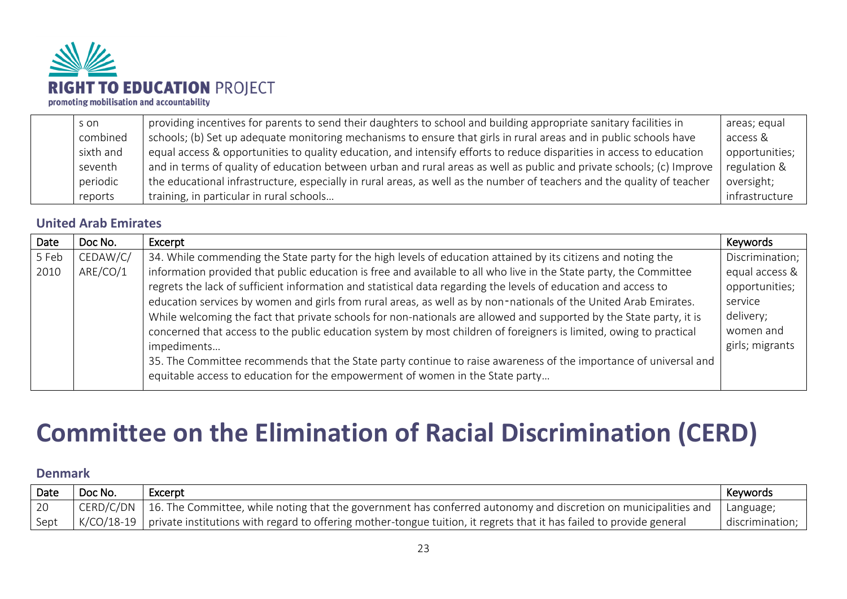

| s on      | providing incentives for parents to send their daughters to school and building appropriate sanitary facilities in      | areas; equal   |
|-----------|-------------------------------------------------------------------------------------------------------------------------|----------------|
|           |                                                                                                                         |                |
| combined  | schools; (b) Set up adequate monitoring mechanisms to ensure that girls in rural areas and in public schools have       | access &       |
| sixth and | equal access & opportunities to quality education, and intensify efforts to reduce disparities in access to education   | opportunities; |
| seventh   | and in terms of quality of education between urban and rural areas as well as public and private schools; (c) Improve   | regulation &   |
| periodic  | the educational infrastructure, especially in rural areas, as well as the number of teachers and the quality of teacher | oversight;     |
| reports   | training, in particular in rural schools                                                                                | infrastructure |

#### <span id="page-22-0"></span>**United Arab Emirates**

| Date  | Doc No.  | Excerpt                                                                                                             | Keywords        |
|-------|----------|---------------------------------------------------------------------------------------------------------------------|-----------------|
| 5 Feb | CEDAW/C/ | 34. While commending the State party for the high levels of education attained by its citizens and noting the       | Discrimination; |
| 2010  | ARE/CO/1 | information provided that public education is free and available to all who live in the State party, the Committee  | equal access &  |
|       |          | regrets the lack of sufficient information and statistical data regarding the levels of education and access to     | opportunities;  |
|       |          | education services by women and girls from rural areas, as well as by non-nationals of the United Arab Emirates.    | service         |
|       |          | While welcoming the fact that private schools for non-nationals are allowed and supported by the State party, it is | delivery;       |
|       |          | concerned that access to the public education system by most children of foreigners is limited, owing to practical  | women and       |
|       |          | impediments                                                                                                         | girls; migrants |
|       |          | 35. The Committee recommends that the State party continue to raise awareness of the importance of universal and    |                 |
|       |          | equitable access to education for the empowerment of women in the State party                                       |                 |

## <span id="page-22-1"></span>**Committee on the Elimination of Racial Discrimination (CERD)**

#### <span id="page-22-2"></span>**Denmark**

| Date | Doc No. | Excerpt                                                                                                                                       | Keywords        |
|------|---------|-----------------------------------------------------------------------------------------------------------------------------------------------|-----------------|
|      |         | CERD/C/DN   16. The Committee, while noting that the government has conferred autonomy and discretion on municipalities and                   | Language;       |
| Sept |         | $\mid$ K/CO/18-19 $\mid$ private institutions with regard to offering mother-tongue tuition, it regrets that it has failed to provide general | discrimination; |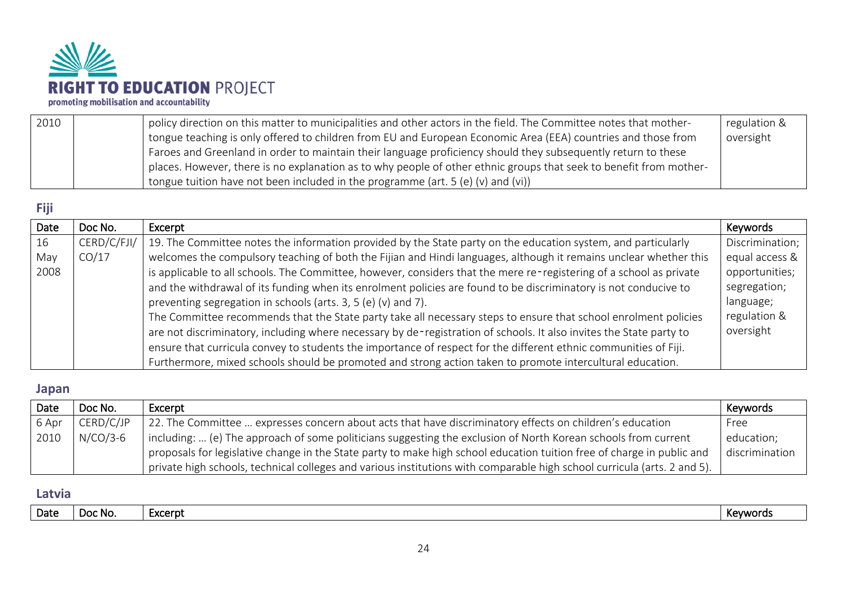

| 2010 | policy direction on this matter to municipalities and other actors in the field. The Committee notes that mother-  | regulation & |
|------|--------------------------------------------------------------------------------------------------------------------|--------------|
|      | tongue teaching is only offered to children from EU and European Economic Area (EEA) countries and those from      | oversight    |
|      | Faroes and Greenland in order to maintain their language proficiency should they subsequently return to these      |              |
|      | places. However, there is no explanation as to why people of other ethnic groups that seek to benefit from mother- |              |
|      | tongue tuition have not been included in the programme (art. 5 (e) (v) and (vi))                                   |              |

## <span id="page-23-0"></span>**Fiji**

| Date | Doc No.     | Excerpt                                                                                                             | Keywords        |
|------|-------------|---------------------------------------------------------------------------------------------------------------------|-----------------|
| 16   | CERD/C/FJI/ | 19. The Committee notes the information provided by the State party on the education system, and particularly       | Discrimination; |
| May  | CO/17       | welcomes the compulsory teaching of both the Fijian and Hindi languages, although it remains unclear whether this   | equal access &  |
| 2008 |             | is applicable to all schools. The Committee, however, considers that the mere re-registering of a school as private | opportunities;  |
|      |             | and the withdrawal of its funding when its enrolment policies are found to be discriminatory is not conducive to    | segregation;    |
|      |             | preventing segregation in schools (arts. 3, 5 (e) (v) and 7).                                                       | language;       |
|      |             | The Committee recommends that the State party take all necessary steps to ensure that school enrolment policies     | regulation &    |
|      |             | are not discriminatory, including where necessary by de-registration of schools. It also invites the State party to | oversight       |
|      |             | ensure that curricula convey to students the importance of respect for the different ethnic communities of Fiji.    |                 |
|      |             | Furthermore, mixed schools should be promoted and strong action taken to promote intercultural education.           |                 |

#### <span id="page-23-1"></span>**Japan**

| Date  | Doc No.    | Excerpt                                                                                                                  | Keywords       |
|-------|------------|--------------------------------------------------------------------------------------------------------------------------|----------------|
| 6 Apr | CERD/C/JP  | 22. The Committee  expresses concern about acts that have discriminatory effects on children's education                 | Free           |
| 2010  | $N/CO/3-6$ | including:  (e) The approach of some politicians suggesting the exclusion of North Korean schools from current           | education;     |
|       |            | proposals for legislative change in the State party to make high school education tuition free of charge in public and   | discrimination |
|       |            | private high schools, technical colleges and various institutions with comparable high school curricula (arts. 2 and 5). |                |

#### <span id="page-23-2"></span>**Latvia**

| Date<br>- Doc No.<br>Excerpt<br>ົດ\/\ພ.<br>ירות |  |  |
|-------------------------------------------------|--|--|
|                                                 |  |  |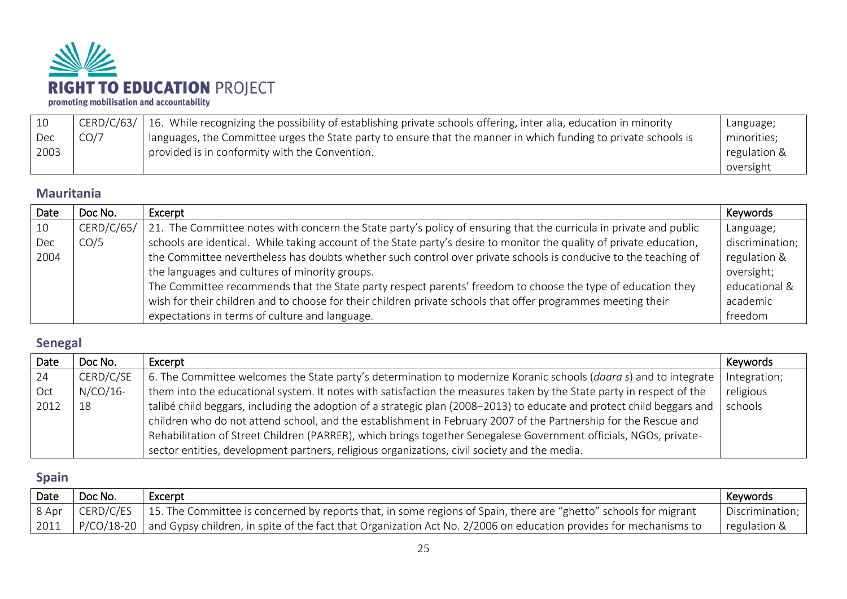

|      |      | CERD/C/63/   16. While recognizing the possibility of establishing private schools offering, inter alia, education in minority | Language;    |
|------|------|--------------------------------------------------------------------------------------------------------------------------------|--------------|
| Dec  | CO/7 | l languages, the Committee urges the State party to ensure that the manner in which funding to private schools is              | minorities;  |
| 2003 |      | provided is in conformity with the Convention.                                                                                 | regulation & |
|      |      |                                                                                                                                | oversight    |

#### <span id="page-24-0"></span>**Mauritania**

| Date | Doc No.    | Excerpt                                                                                                              | Keywords        |
|------|------------|----------------------------------------------------------------------------------------------------------------------|-----------------|
| 10   | CERD/C/65/ | 21. The Committee notes with concern the State party's policy of ensuring that the curricula in private and public   | Language;       |
| Dec  | CO/5       | schools are identical. While taking account of the State party's desire to monitor the quality of private education, | discrimination; |
| 2004 |            | the Committee nevertheless has doubts whether such control over private schools is conducive to the teaching of      | regulation &    |
|      |            | the languages and cultures of minority groups.                                                                       | oversight;      |
|      |            | The Committee recommends that the State party respect parents' freedom to choose the type of education they          | educational &   |
|      |            | wish for their children and to choose for their children private schools that offer programmes meeting their         | academic        |
|      |            | expectations in terms of culture and language.                                                                       | freedom         |

## <span id="page-24-1"></span>**Senegal**

| Date | Doc No.     | Excerpt                                                                                                               | Keywords     |
|------|-------------|-----------------------------------------------------------------------------------------------------------------------|--------------|
| -24  | CERD/C/SE   | 6. The Committee welcomes the State party's determination to modernize Koranic schools (daara s) and to integrate     | Integration; |
| Oct  | $N/CO/16$ - | them into the educational system. It notes with satisfaction the measures taken by the State party in respect of the  | religious    |
| 2012 | 18          | talibé child beggars, including the adoption of a strategic plan (2008–2013) to educate and protect child beggars and | schools      |
|      |             | children who do not attend school, and the establishment in February 2007 of the Partnership for the Rescue and       |              |
|      |             | Rehabilitation of Street Children (PARRER), which brings together Senegalese Government officials, NGOs, private-     |              |
|      |             | sector entities, development partners, religious organizations, civil society and the media.                          |              |

## <span id="page-24-2"></span>**Spain**

| Date  | Doc No. | Excerpt                                                                                                                             | <b>Keywords</b> |
|-------|---------|-------------------------------------------------------------------------------------------------------------------------------------|-----------------|
| 8 Apr |         | , CERD/C/ES $\,$   15. The Committee is concerned by reports that, in some regions of Spain, there are "ghetto" schools for migrant | Discrimination; |
| 2011  |         | P/CO/18-20 and Gypsy children, in spite of the fact that Organization Act No. 2/2006 on education provides for mechanisms to        | regulation &    |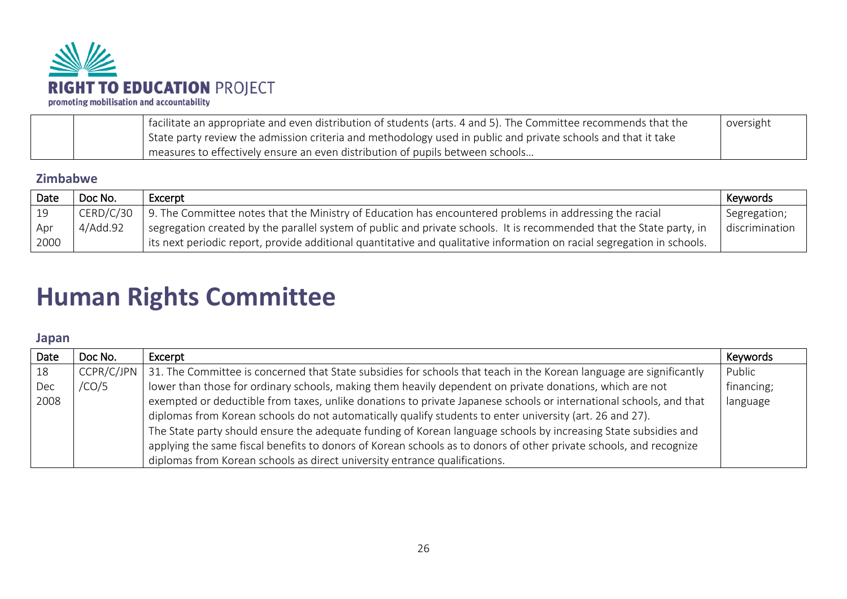

| facilitate an appropriate and even distribution of students (arts. 4 and 5). The Committee recommends that the | oversight |
|----------------------------------------------------------------------------------------------------------------|-----------|
| State party review the admission criteria and methodology used in public and private schools and that it take  |           |
| measures to effectively ensure an even distribution of pupils between schools                                  |           |

#### <span id="page-25-0"></span>**Zimbabwe**

| Date       | Doc No.   | Excerpt                                                                                                                 | Keywords       |
|------------|-----------|-------------------------------------------------------------------------------------------------------------------------|----------------|
| $\vert$ 19 | CERD/C/30 | 9. The Committee notes that the Ministry of Education has encountered problems in addressing the racial                 | Segregation;   |
| Apr        | 4/Add.92  | segregation created by the parallel system of public and private schools. It is recommended that the State party, in    | discrimination |
| 2000       |           | its next periodic report, provide additional quantitative and qualitative information on racial segregation in schools. |                |

## <span id="page-25-1"></span>**Human Rights Committee**

#### <span id="page-25-2"></span>**Japan**

| Date | Doc No. | Excerpt                                                                                                                                | Keywords   |
|------|---------|----------------------------------------------------------------------------------------------------------------------------------------|------------|
| 18   |         | CCPR/C/JPN $\vert$ 31. The Committee is concerned that State subsidies for schools that teach in the Korean language are significantly | Public     |
| Dec  | /CO/5   | lower than those for ordinary schools, making them heavily dependent on private donations, which are not                               | financing; |
| 2008 |         | exempted or deductible from taxes, unlike donations to private Japanese schools or international schools, and that                     | language   |
|      |         | diplomas from Korean schools do not automatically qualify students to enter university (art. 26 and 27).                               |            |
|      |         | The State party should ensure the adequate funding of Korean language schools by increasing State subsidies and                        |            |
|      |         | applying the same fiscal benefits to donors of Korean schools as to donors of other private schools, and recognize                     |            |
|      |         | diplomas from Korean schools as direct university entrance qualifications.                                                             |            |